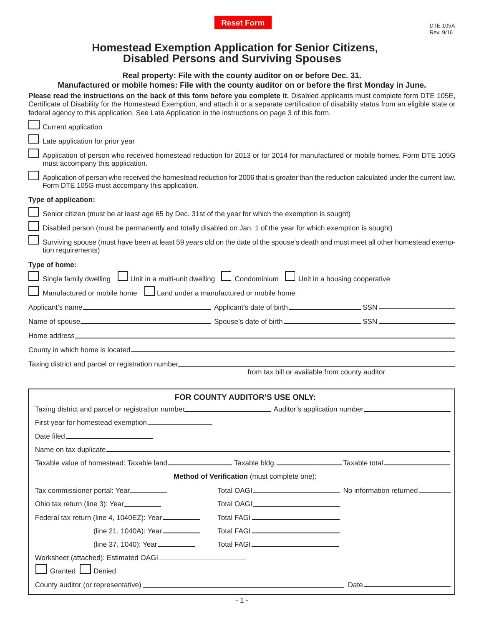## **Homestead Exemption Application for Senior Citizens, Disabled Persons and Surviving Spouses**

## **Real property: File with the county auditor on or before Dec. 31.**

## **Manufactured or mobile homes: File with the county auditor on or before the fi rst Monday in June.**

Please read the instructions on the back of this form before you complete it. Disabled applicants must complete form DTE 105E, Certificate of Disability for the Homestead Exemption, and attach it or a separate certification of disability status from an eligible state or federal agency to this application. See Late Application in the instructions on page 3 of this form.

| Current application                                                                                                                                                                        |                                                    |  |  |  |  |
|--------------------------------------------------------------------------------------------------------------------------------------------------------------------------------------------|----------------------------------------------------|--|--|--|--|
| Late application for prior year                                                                                                                                                            |                                                    |  |  |  |  |
| Application of person who received homestead reduction for 2013 or for 2014 for manufactured or mobile homes. Form DTE 105G<br>must accompany this application.                            |                                                    |  |  |  |  |
| Application of person who received the homestead reduction for 2006 that is greater than the reduction calculated under the current law.<br>Form DTE 105G must accompany this application. |                                                    |  |  |  |  |
| Type of application:                                                                                                                                                                       |                                                    |  |  |  |  |
| Senior citizen (must be at least age 65 by Dec. 31st of the year for which the exemption is sought)                                                                                        |                                                    |  |  |  |  |
| Disabled person (must be permanently and totally disabled on Jan. 1 of the year for which exemption is sought)                                                                             |                                                    |  |  |  |  |
| Surviving spouse (must have been at least 59 years old on the date of the spouse's death and must meet all other homestead exemp-<br>tion requirements)                                    |                                                    |  |  |  |  |
| Type of home:                                                                                                                                                                              |                                                    |  |  |  |  |
| Unit in a housing cooperative طu Unit in a multi-unit dwelling طu Condominium طu Unit in a housing cooperative                                                                             |                                                    |  |  |  |  |
| $\Box$ Manufactured or mobile home $\Box$ Land under a manufactured or mobile home                                                                                                         |                                                    |  |  |  |  |
|                                                                                                                                                                                            |                                                    |  |  |  |  |
|                                                                                                                                                                                            |                                                    |  |  |  |  |
|                                                                                                                                                                                            |                                                    |  |  |  |  |
|                                                                                                                                                                                            |                                                    |  |  |  |  |
| Taxing district and parcel or registration number_______________________________                                                                                                           |                                                    |  |  |  |  |
|                                                                                                                                                                                            | from tax bill or available from county auditor     |  |  |  |  |
|                                                                                                                                                                                            | FOR COUNTY AUDITOR'S USE ONLY:                     |  |  |  |  |
|                                                                                                                                                                                            |                                                    |  |  |  |  |
| First year for homestead exemption__________________                                                                                                                                       |                                                    |  |  |  |  |
|                                                                                                                                                                                            |                                                    |  |  |  |  |
|                                                                                                                                                                                            |                                                    |  |  |  |  |
| Taxable value of homestead: Taxable land__________________________Taxable bldg._____________________Taxable total______________________                                                    |                                                    |  |  |  |  |
|                                                                                                                                                                                            | <b>Method of Verification</b> (must complete one): |  |  |  |  |
| Tax commissioner portal: Year                                                                                                                                                              |                                                    |  |  |  |  |
| Ohio tax return (line 3): Year                                                                                                                                                             |                                                    |  |  |  |  |
| Federal tax return (line 4, 1040EZ): Year                                                                                                                                                  |                                                    |  |  |  |  |
| (line 21, 1040A): Year                                                                                                                                                                     |                                                    |  |  |  |  |
| (line 37, 1040): Year__________                                                                                                                                                            |                                                    |  |  |  |  |
|                                                                                                                                                                                            |                                                    |  |  |  |  |
| Granted <b>L</b> Denied                                                                                                                                                                    |                                                    |  |  |  |  |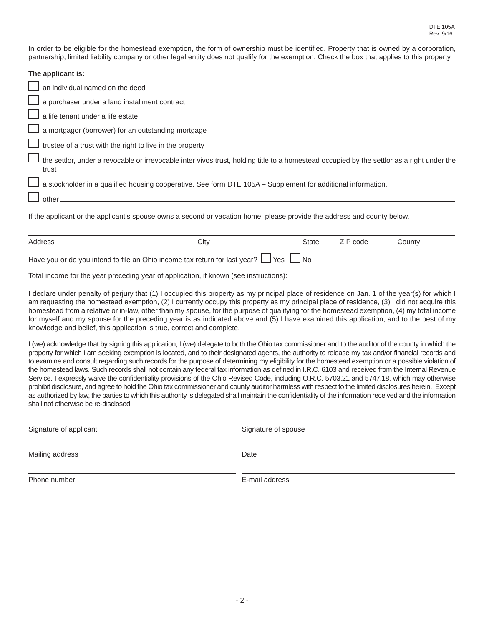In order to be eligible for the homestead exemption, the form of ownership must be identified. Property that is owned by a corporation, partnership, limited liability company or other legal entity does not qualify for the exemption. Check the box that applies to this property.

| The applicant is:                                                                                                                                   |
|-----------------------------------------------------------------------------------------------------------------------------------------------------|
| $\Box$ an individual named on the deed                                                                                                              |
| a purchaser under a land installment contract                                                                                                       |
| $\Box$ a life tenant under a life estate                                                                                                            |
| $\Box$ a mortgagor (borrower) for an outstanding mortgage                                                                                           |
| $\Box$ trustee of a trust with the right to live in the property                                                                                    |
| the settlor, under a revocable or irrevocable inter vivos trust, holding title to a homestead occupied by the settlor as a right under the<br>trust |
| a stockholder in a qualified housing cooperative. See form DTE 105A – Supplement for additional information.                                        |
| $\Box$ other_                                                                                                                                       |
| If the applicant or the applicant's spouse owns a second or vacation home, please provide the address and county below.                             |

| Address                                                                                         | City | <b>State</b> | ZIP code | Countv |  |
|-------------------------------------------------------------------------------------------------|------|--------------|----------|--------|--|
| Have you or do you intend to file an Ohio income tax return for last year? $\Box$ Yes $\Box$ No |      |              |          |        |  |
| Total income for the year preceding year of application, if known (see instructions):           |      |              |          |        |  |

I declare under penalty of perjury that (1) I occupied this property as my principal place of residence on Jan. 1 of the year(s) for which I am requesting the homestead exemption, (2) I currently occupy this property as my principal place of residence, (3) I did not acquire this homestead from a relative or in-law, other than my spouse, for the purpose of qualifying for the homestead exemption, (4) my total income for myself and my spouse for the preceding year is as indicated above and (5) I have examined this application, and to the best of my knowledge and belief, this application is true, correct and complete.

I (we) acknowledge that by signing this application, I (we) delegate to both the Ohio tax commissioner and to the auditor of the county in which the property for which I am seeking exemption is located, and to their designated agents, the authority to release my tax and/or financial records and to examine and consult regarding such records for the purpose of determining my eligibility for the homestead exemption or a possible violation of the homestead laws. Such records shall not contain any federal tax information as defined in I.R.C. 6103 and received from the Internal Revenue Service. I expressly waive the confidentiality provisions of the Ohio Revised Code, including O.R.C. 5703.21 and 5747.18, which may otherwise prohibit disclosure, and agree to hold the Ohio tax commissioner and county auditor harmless with respect to the limited disclosures herein. Except as authorized by law, the parties to which this authority is delegated shall maintain the confidentiality of the information received and the information shall not otherwise be re-disclosed.

| Signature of applicant | Signature of spouse |
|------------------------|---------------------|
| Mailing address        | Date                |
| Phone number           | E-mail address      |